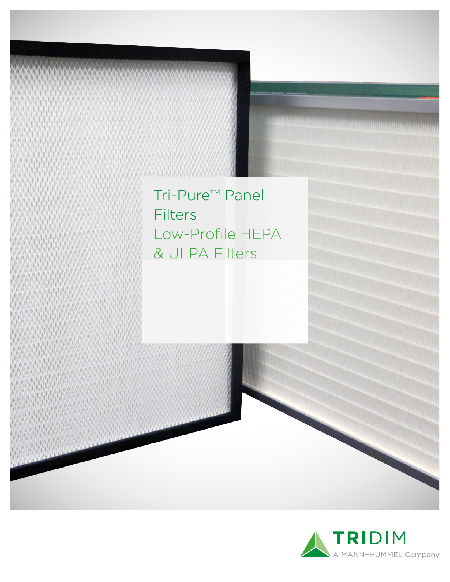

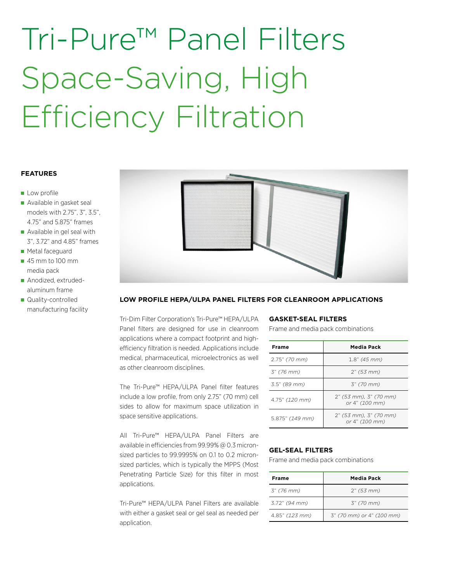# Tri-Pure™ Panel Filters Space-Saving, High Efficiency Filtration

#### **FEATURES**

- **Low profile**
- Available in gasket seal models with 2.75", 3", 3.5", 4.75" and 5.875" frames
- Available in gel seal with 3", 3.72" and 4.85" frames
- **Metal faceguard**
- $\blacksquare$  45 mm to 100 mm media pack
- Anodized, extrudedaluminum frame
- Quality-controlled manufacturing facility



#### **LOW PROFILE HEPA/ULPA PANEL FILTERS FOR CLEANROOM APPLICATIONS**

Tri-Dim Filter Corporation's Tri-Pure™ HEPA/ULPA Panel filters are designed for use in cleanroom applications where a compact footprint and highefficiency filtration is needed. Applications include medical, pharmaceutical, microelectronics as well as other cleanroom disciplines.

The Tri-Pure™ HEPA/ULPA Panel filter features include a low profile, from only 2.75" (70 mm) cell sides to allow for maximum space utilization in space sensitive applications.

All Tri-Pure™ HEPA/ULPA Panel Filters are available in efficiencies from 99.99% @ 0.3 micronsized particles to 99.9995% on 0.1 to 0.2 micronsized particles, which is typically the MPPS (Most Penetrating Particle Size) for this filter in most applications.

Tri-Pure™ HEPA/ULPA Panel Filters are available with either a gasket seal or gel seal as needed per application.

#### **GASKET-SEAL FILTERS**

Frame and media pack combinations

| <b>Frame</b>    | <b>Media Pack</b>                        |
|-----------------|------------------------------------------|
| 2.75" (70 mm)   | 1.8" (45 mm)                             |
| 3" (76 mm)      | 2" (53 mm)                               |
| 3.5" (89 mm)    | 3" (70 mm)                               |
| 4.75" (120 mm)  | 2" (53 mm), 3" (70 mm)<br>or 4" (100 mm) |
| 5.875" (149 mm) | 2" (53 mm), 3" (70 mm)<br>or 4" (100 mm) |

#### **GEL-SEAL FILTERS**

Frame and media pack combinations

| Frame          | Media Pack                |
|----------------|---------------------------|
| 3" (76 mm)     | 2" (53 mm)                |
| 3.72" (94 mm)  | 3" (70 mm)                |
| 4.85" (123 mm) | 3" (70 mm) or 4" (100 mm) |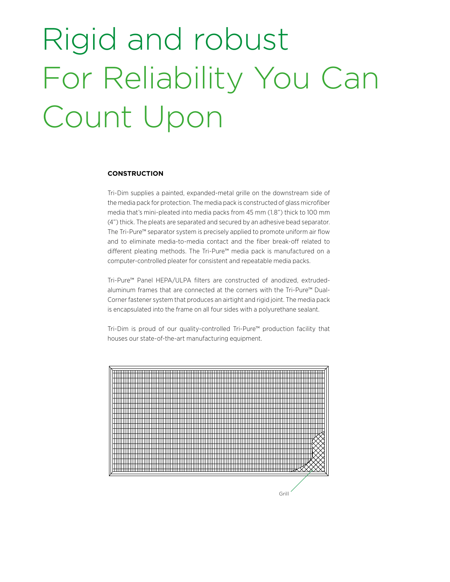# Rigid and robust For Reliability You Can Count Upon

#### **CONSTRUCTION**

Tri-Dim supplies a painted, expanded-metal grille on the downstream side of the media pack for protection. The media pack is constructed of glass microfiber media that's mini-pleated into media packs from 45 mm (1.8") thick to 100 mm (4") thick. The pleats are separated and secured by an adhesive bead separator. The Tri-Pure™ separator system is precisely applied to promote uniform air flow and to eliminate media-to-media contact and the fiber break-off related to different pleating methods. The Tri-Pure™ media pack is manufactured on a computer-controlled pleater for consistent and repeatable media packs.

Tri-Pure™ Panel HEPA/ULPA filters are constructed of anodized, extrudedaluminum frames that are connected at the corners with the Tri-Pure™ Dual-Corner fastener system that produces an airtight and rigid joint. The media pack is encapsulated into the frame on all four sides with a polyurethane sealant.

Tri-Dim is proud of our quality-controlled Tri-Pure™ production facility that houses our state-of-the-art manufacturing equipment.

| xх. |
|-----|
|     |
|     |

Grill